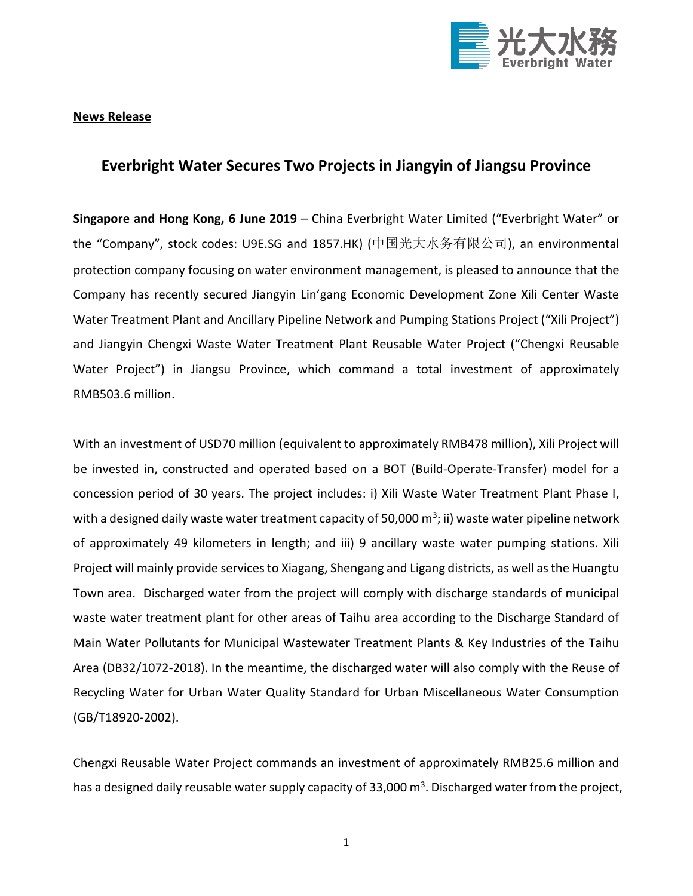

**News Release**

## **Everbright Water Secures Two Projects in Jiangyin of Jiangsu Province**

**Singapore and Hong Kong, 6 June 2019** – China Everbright Water Limited ("Everbright Water" or the "Company", stock codes: U9E.SG and 1857.HK) (中国光大水务有限公司), an environmental protection company focusing on water environment management, is pleased to announce that the Company has recently secured Jiangyin Lin'gang Economic Development Zone Xili Center Waste Water Treatment Plant and Ancillary Pipeline Network and Pumping Stations Project ("Xili Project") and Jiangyin Chengxi Waste Water Treatment Plant Reusable Water Project ("Chengxi Reusable Water Project") in Jiangsu Province, which command a total investment of approximately RMB503.6 million.

With an investment of USD70 million (equivalent to approximately RMB478 million), Xili Project will be invested in, constructed and operated based on a BOT (Build-Operate-Transfer) model for a concession period of 30 years. The project includes: i) Xili Waste Water Treatment Plant Phase I, with a designed daily waste water treatment capacity of 50,000  $\text{m}^3$ ; ii) waste water pipeline network of approximately 49 kilometers in length; and iii) 9 ancillary waste water pumping stations. Xili Project will mainly provide services to Xiagang, Shengang and Ligang districts, as well as the Huangtu Town area. Discharged water from the project will comply with discharge standards of municipal waste water treatment plant for other areas of Taihu area according to the Discharge Standard of Main Water Pollutants for Municipal Wastewater Treatment Plants & Key Industries of the Taihu Area (DB32/1072-2018). In the meantime, the discharged water will also comply with the Reuse of Recycling Water for Urban Water Quality Standard for Urban Miscellaneous Water Consumption (GB/T18920-2002).

Chengxi Reusable Water Project commands an investment of approximately RMB25.6 million and has a designed daily reusable water supply capacity of 33,000 m<sup>3</sup>. Discharged water from the project,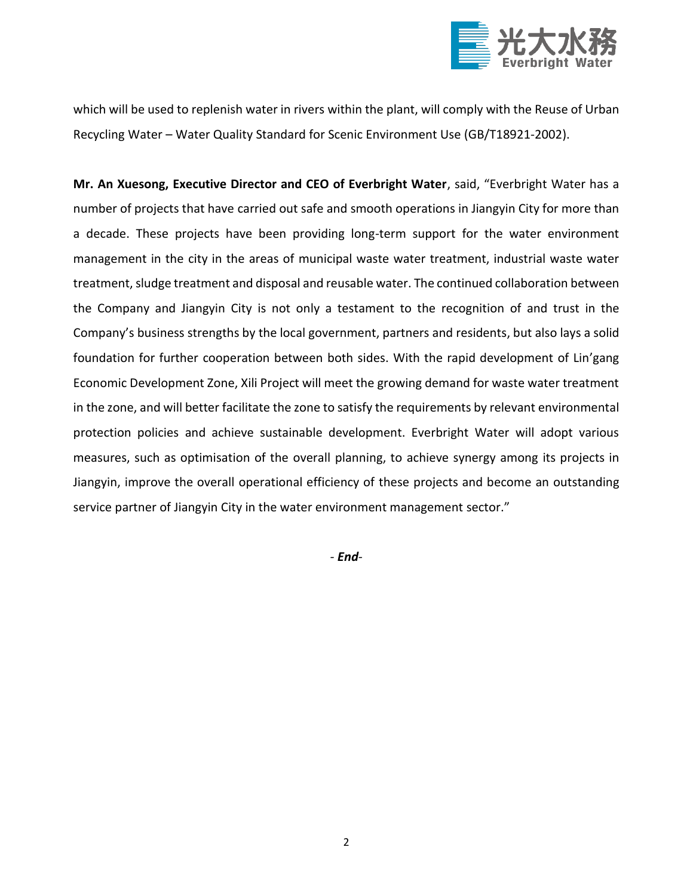

which will be used to replenish water in rivers within the plant, will comply with the Reuse of Urban Recycling Water – Water Quality Standard for Scenic Environment Use (GB/T18921-2002).

**Mr. An Xuesong, Executive Director and CEO of Everbright Water**, said, "Everbright Water has a number of projects that have carried out safe and smooth operations in Jiangyin City for more than a decade. These projects have been providing long-term support for the water environment management in the city in the areas of municipal waste water treatment, industrial waste water treatment, sludge treatment and disposal and reusable water. The continued collaboration between the Company and Jiangyin City is not only a testament to the recognition of and trust in the Company's business strengths by the local government, partners and residents, but also lays a solid foundation for further cooperation between both sides. With the rapid development of Lin'gang Economic Development Zone, Xili Project will meet the growing demand for waste water treatment in the zone, and will better facilitate the zone to satisfy the requirements by relevant environmental protection policies and achieve sustainable development. Everbright Water will adopt various measures, such as optimisation of the overall planning, to achieve synergy among its projects in Jiangyin, improve the overall operational efficiency of these projects and become an outstanding service partner of Jiangyin City in the water environment management sector."

*- End-*